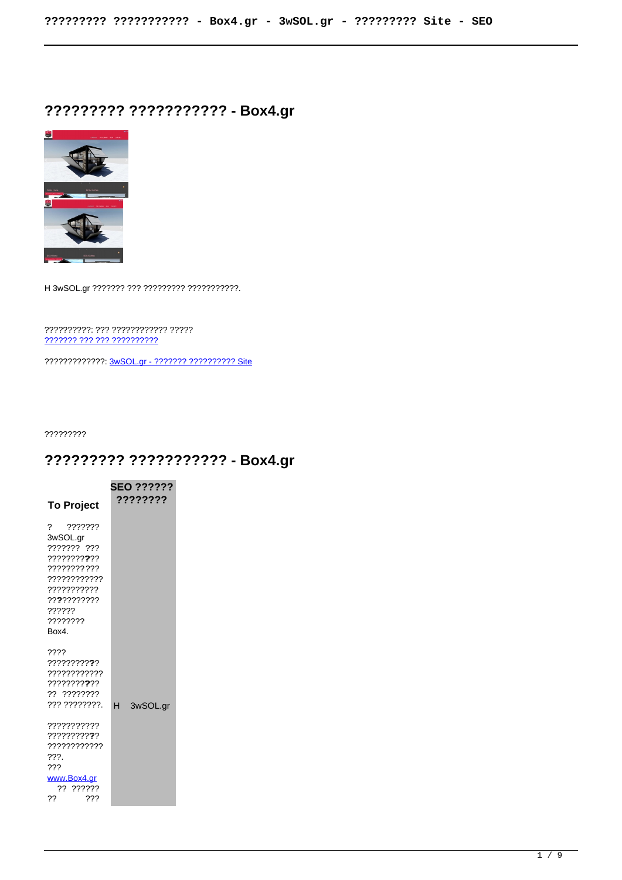## ????????? ??????????? - Box4.gr



H 3wSOL.gr ??????? ??? ????????? ????????????.

## 

????????????? 3wSOL.gr - ??????? ?????????? Site

?????????

## ???????? ??????????? - Box4.gr

|                            | <b>SEO ??????</b> |  |
|----------------------------|-------------------|--|
| <b>To Project</b>          | ????????          |  |
|                            |                   |  |
| ?  ?? ?? ??                |                   |  |
| 3wSOL.gr                   |                   |  |
| ??????? ???                |                   |  |
| 77777777777                |                   |  |
| ???????????                |                   |  |
| ????????????<br>7777777777 |                   |  |
| ???????????                |                   |  |
| ??????                     |                   |  |
| ????????                   |                   |  |
| Box4.                      |                   |  |
|                            |                   |  |
| 7777                       |                   |  |
| ???????????                |                   |  |
| ,,,,,,,,,,,,,              |                   |  |
| 7777777777                 |                   |  |
| ?? ????????                |                   |  |
| 777 77777777               | н<br>3wSOL.gr     |  |
| ???????????                |                   |  |
| 77777777777729             |                   |  |
| 77777777777                |                   |  |
| 222                        |                   |  |
| 777                        |                   |  |
| www.Box4.gr                |                   |  |
| ?? ??????                  |                   |  |
| ???<br>22                  |                   |  |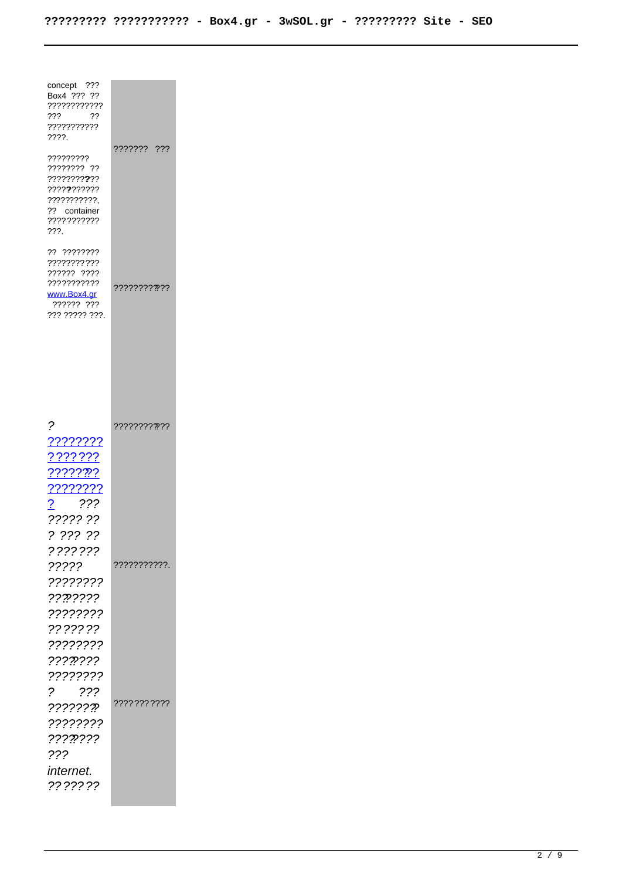| concept ???<br>Box4 ??? ??<br>????????????<br>???<br>??<br>???????????<br>7777.<br>?????????<br>???????? ??<br>???????????<br>???????????<br>???????????.<br>?? container<br>???????????<br>???. | ???????<br>??? |  |
|--------------------------------------------------------------------------------------------------------------------------------------------------------------------------------------------------|----------------|--|
| ?? ????????<br>???????????<br>?????? ????<br>???????????<br>www.Box4.ar<br>?????? ???<br>??? ????? ???.                                                                                          | ????????????   |  |
| ?<br>????????<br><u>? ??? ???</u><br>?? <u>?????</u> ?<br><u> ????????</u><br>???<br><u>?</u><br>????? ??                                                                                        | ????????????   |  |
| ? ??? ??<br>???????<br>?????<br>????????<br>???????<br>????????<br>???????                                                                                                                       | ???????????.   |  |
| ????????<br>???????<br>????????<br>$\overline{?}$<br>???<br>????????<br>????????<br>???????<br>???<br>internet.<br>???????                                                                       | ???????????    |  |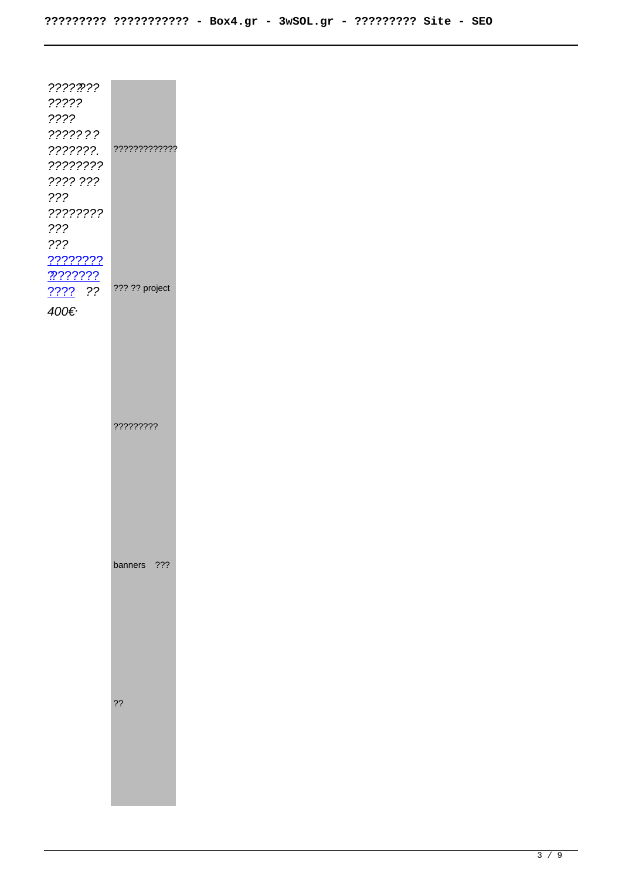| ???????<br>?????<br>????<br>???????<br>???????.<br>????????<br>???? ???<br>???<br>????????<br>??? | ?????????????  |  |
|---------------------------------------------------------------------------------------------------|----------------|--|
| ???<br><u> ????????</u><br><u>79???????</u><br>???? ??<br>400€                                    | ??? ?? project |  |
|                                                                                                   | ?????????      |  |
|                                                                                                   | banners<br>??? |  |
|                                                                                                   | ??             |  |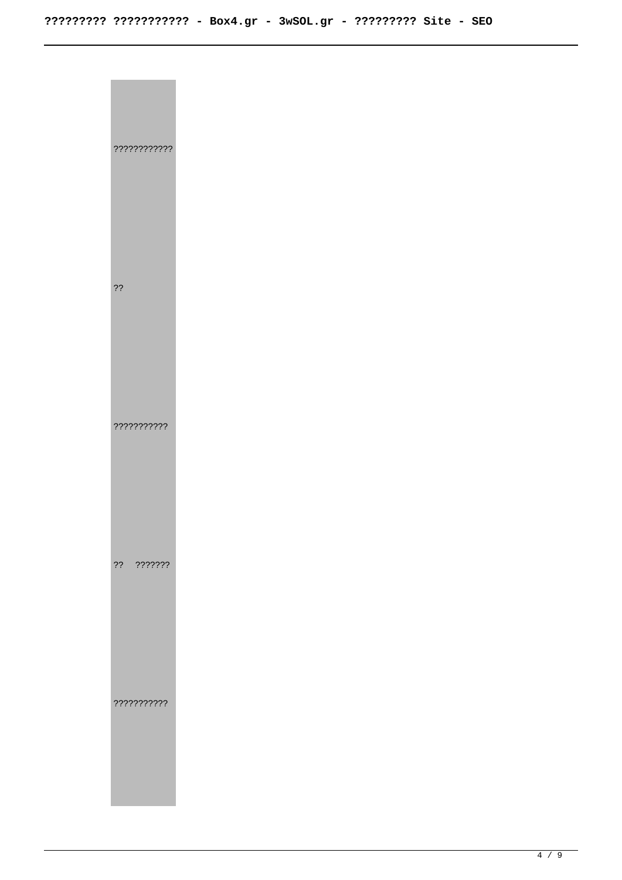| ???????????? |  |  |  |
|--------------|--|--|--|
| ??           |  |  |  |
| ???????????  |  |  |  |
| ?? ???????   |  |  |  |
| ???????????  |  |  |  |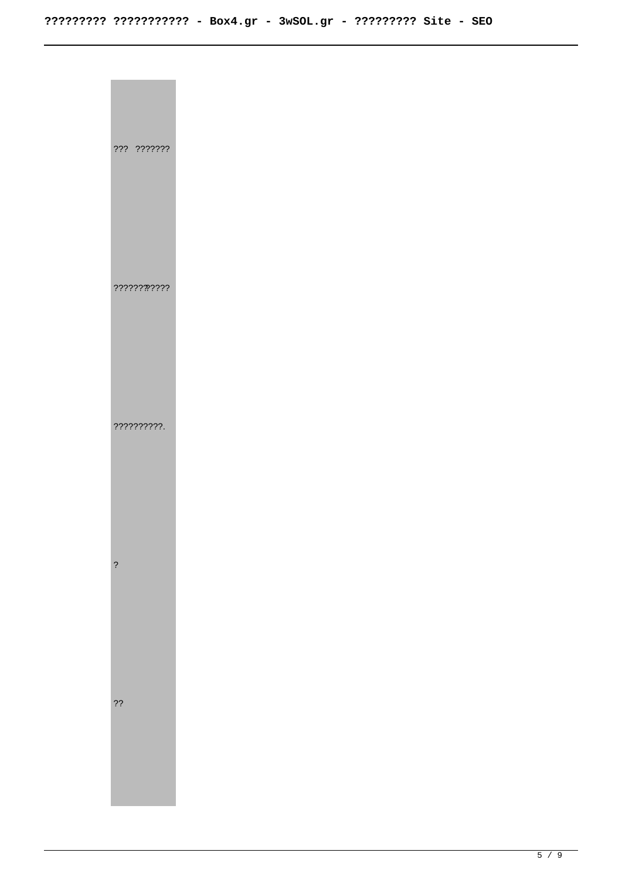??? ???????  $???????????$ ??????????.  $\overline{?}$  $??$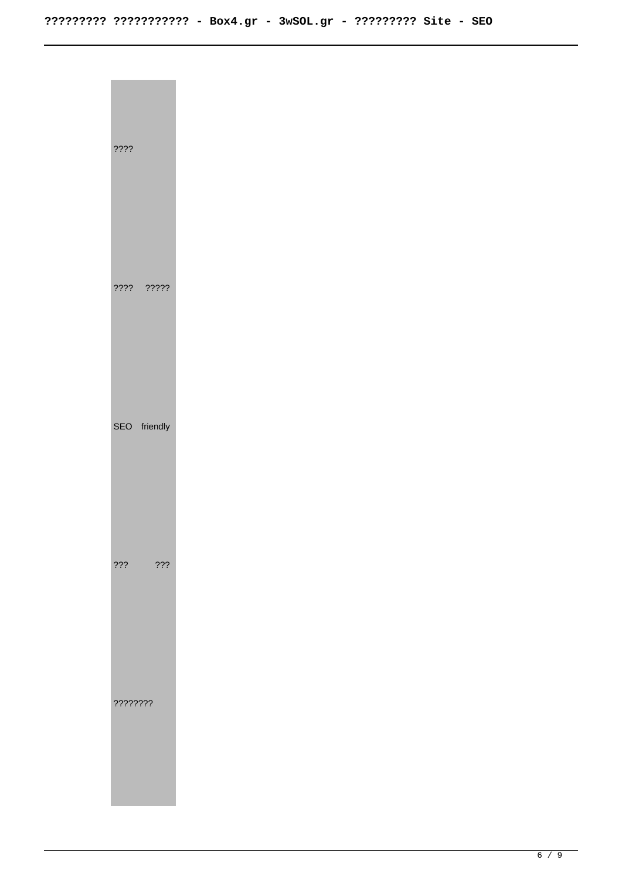| ????         |  |
|--------------|--|
| ???? ?????   |  |
| SEO friendly |  |
| 222<br>???   |  |
| ????????     |  |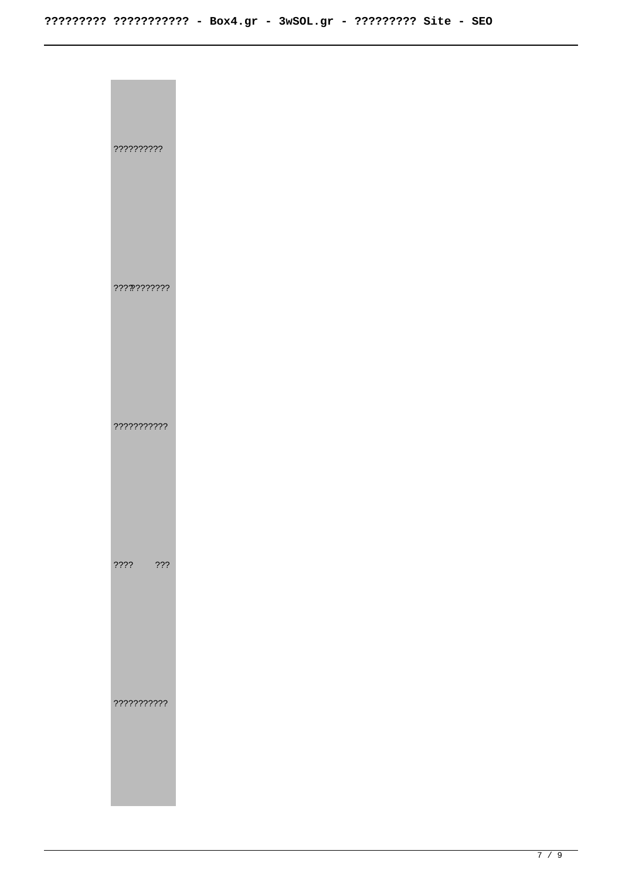| ??????????     |  |  |
|----------------|--|--|
| ???????????    |  |  |
| ???????????    |  |  |
| ????<br>$?$ ?? |  |  |
| ???????????    |  |  |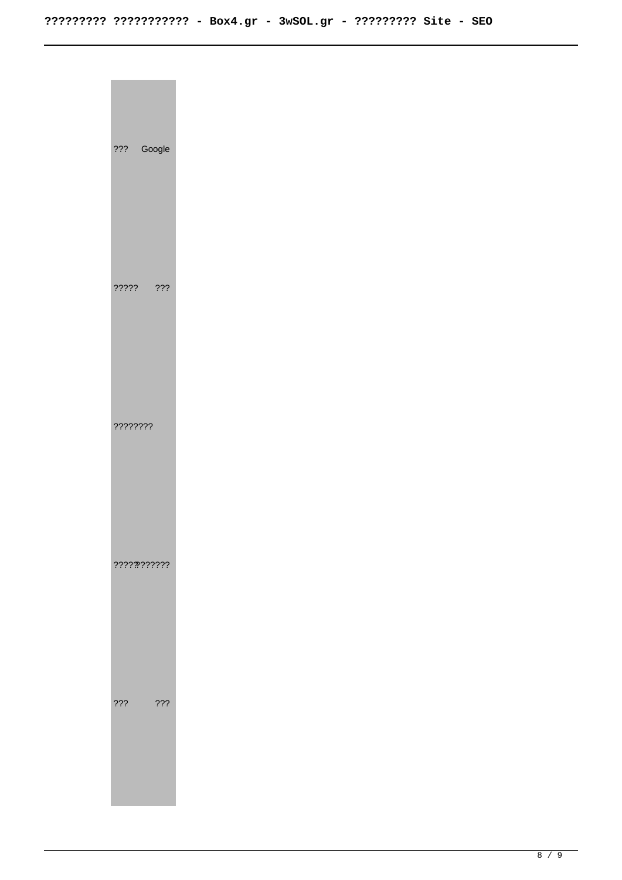| ???<br>Google   |  |  |
|-----------------|--|--|
| ?????<br>$?$ ?? |  |  |
| ????????        |  |  |
| ???????????     |  |  |
| ???<br>$?$ ??   |  |  |